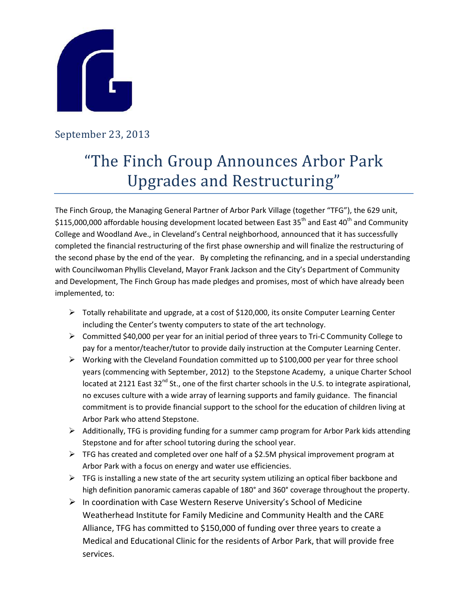

## September 23, 2013

## "The Finch Group Announces Arbor Park Upgrades and Restructuring"

The Finch Group, the Managing General Partner of Arbor Park Village (together "TFG"), the 629 unit, \$115,000,000 affordable housing development located between East 35<sup>th</sup> and East 40<sup>th</sup> and Community College and Woodland Ave., in Cleveland's Central neighborhood, announced that it has successfully completed the financial restructuring of the first phase ownership and will finalize the restructuring of the second phase by the end of the year. By completing the refinancing, and in a special understanding with Councilwoman Phyllis Cleveland, Mayor Frank Jackson and the City's Department of Community and Development, The Finch Group has made pledges and promises, most of which have already been implemented, to:

- $\triangleright$  Totally rehabilitate and upgrade, at a cost of \$120,000, its onsite Computer Learning Center including the Center's twenty computers to state of the art technology.
- Committed \$40,000 per year for an initial period of three years to Tri-C Community College to pay for a mentor/teacher/tutor to provide daily instruction at the Computer Learning Center.
- $\triangleright$  Working with the Cleveland Foundation committed up to \$100,000 per year for three school years (commencing with September, 2012) to the Stepstone Academy, a unique Charter School located at 2121 East 32<sup>nd</sup> St., one of the first charter schools in the U.S. to integrate aspirational, no excuses culture with a wide array of learning supports and family guidance. The financial commitment is to provide financial support to the school for the education of children living at Arbor Park who attend Stepstone.
- $\triangleright$  Additionally, TFG is providing funding for a summer camp program for Arbor Park kids attending Stepstone and for after school tutoring during the school year.
- $\triangleright$  TFG has created and completed over one half of a \$2.5M physical improvement program at Arbor Park with a focus on energy and water use efficiencies.
- $\triangleright$  TFG is installing a new state of the art security system utilizing an optical fiber backbone and high definition panoramic cameras capable of 180° and 360° coverage throughout the property.
- $\triangleright$  In coordination with Case Western Reserve University's School of Medicine Weatherhead Institute for Family Medicine and Community Health and the CARE Alliance, TFG has committed to \$150,000 of funding over three years to create a Medical and Educational Clinic for the residents of Arbor Park, that will provide free services.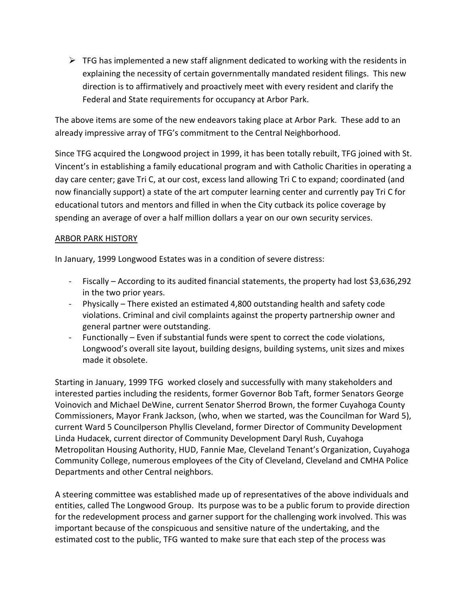$\triangleright$  TFG has implemented a new staff alignment dedicated to working with the residents in explaining the necessity of certain governmentally mandated resident filings. This new direction is to affirmatively and proactively meet with every resident and clarify the Federal and State requirements for occupancy at Arbor Park.

The above items are some of the new endeavors taking place at Arbor Park. These add to an already impressive array of TFG's commitment to the Central Neighborhood.

Since TFG acquired the Longwood project in 1999, it has been totally rebuilt, TFG joined with St. Vincent's in establishing a family educational program and with Catholic Charities in operating a day care center; gave Tri C, at our cost, excess land allowing Tri C to expand; coordinated (and now financially support) a state of the art computer learning center and currently pay Tri C for educational tutors and mentors and filled in when the City cutback its police coverage by spending an average of over a half million dollars a year on our own security services.

## ARBOR PARK HISTORY

In January, 1999 Longwood Estates was in a condition of severe distress:

- Fiscally According to its audited financial statements, the property had lost \$3,636,292 in the two prior years.
- Physically There existed an estimated 4,800 outstanding health and safety code violations. Criminal and civil complaints against the property partnership owner and general partner were outstanding.
- Functionally Even if substantial funds were spent to correct the code violations, Longwood's overall site layout, building designs, building systems, unit sizes and mixes made it obsolete.

Starting in January, 1999 TFG worked closely and successfully with many stakeholders and interested parties including the residents, former Governor Bob Taft, former Senators George Voinovich and Michael DeWine, current Senator Sherrod Brown, the former Cuyahoga County Commissioners, Mayor Frank Jackson, (who, when we started, was the Councilman for Ward 5), current Ward 5 Councilperson Phyllis Cleveland, former Director of Community Development Linda Hudacek, current director of Community Development Daryl Rush, Cuyahoga Metropolitan Housing Authority, HUD, Fannie Mae, Cleveland Tenant's Organization, Cuyahoga Community College, numerous employees of the City of Cleveland, Cleveland and CMHA Police Departments and other Central neighbors.

A steering committee was established made up of representatives of the above individuals and entities, called The Longwood Group. Its purpose was to be a public forum to provide direction for the redevelopment process and garner support for the challenging work involved. This was important because of the conspicuous and sensitive nature of the undertaking, and the estimated cost to the public, TFG wanted to make sure that each step of the process was